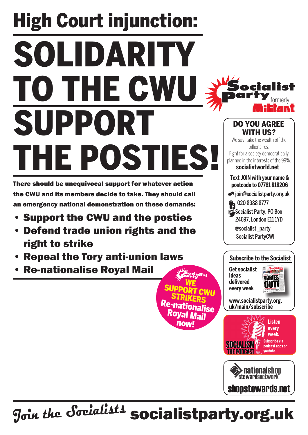# High Court injunction: solidarity to the CWU SUPPORT the posties!

There should be unequivocal support for whatever action the CWU and its members decide to take. They should call an emergency national demonstration on these demands:

- **Support the CWU and the posties**
- **Defend trade union rights and the** right to strike
- **Repeal the Tory anti-union laws**
- **Re-nationalise Royal Mail**

**Text join with your name & postcode to 07761 818206** join@socialistparty.org.uk 29 020 8988 8777 Socialist Party, PO Box 24697, London E11 1YD @socialist \_party Socialist PartyCWI We say: take the wealth off the billionaires. Fight for a society democratically planned in the interests of the 99%. **socialistworld.net**

Do you agree WITH US?

## **Subscribe to the Socialist**

**Get socialist ideas delivered every week**

we<br>Support <sub>CWU</sub><br>STRIKERS

Re-nationalise Royal Mail now!



formerly

lict

**www.socialistparty.org. uk/main/subscribe**



> nationalshon **stewardsnetwork**